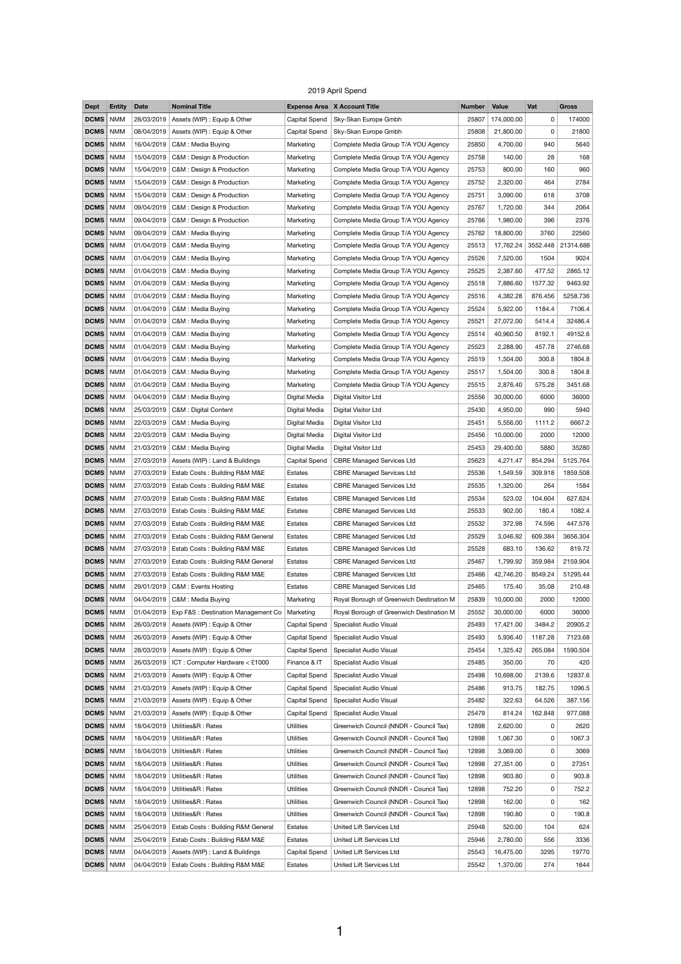## 2019 April Spend

| <b>Dept</b>       | <b>Entity</b>            | <b>Date</b>              | <b>Nominal Title</b>                                                |                                   | <b>Expense Area X Account Title</b>                                              | <b>Number</b>  | <b>Value</b>        | Vat          | <b>Gross</b> |
|-------------------|--------------------------|--------------------------|---------------------------------------------------------------------|-----------------------------------|----------------------------------------------------------------------------------|----------------|---------------------|--------------|--------------|
| <b>DCMS</b>       | <b>NMM</b>               | 28/03/2019               | Assets (WIP) : Equip & Other                                        | <b>Capital Spend</b>              | Sky-Skan Europe Gmbh                                                             | 25807          | 174,000.00          | 0            | 174000       |
| <b>DCMS</b>       | <b>NMM</b>               | 08/04/2019               | Assets (WIP) : Equip & Other                                        | <b>Capital Spend</b>              | Sky-Skan Europe Gmbh                                                             | 25808          | 21,800.00           | 0            | 21800        |
| <b>DCMS</b>       | <b>NMM</b>               | 16/04/2019               | C&M: Media Buying                                                   | Marketing                         | Complete Media Group T/A YOU Agency                                              | 25850          | 4,700.00            | 940          | 5640         |
| <b>DCMS</b>       | <b>NMM</b>               | 15/04/2019               | C&M : Design & Production                                           | Marketing                         | Complete Media Group T/A YOU Agency                                              | 25758          | 140.00              | 28           | 168          |
| <b>DCMS</b>       | <b>NMM</b>               | 15/04/2019               | C&M : Design & Production                                           | Marketing                         | Complete Media Group T/A YOU Agency                                              | 25753          | 800.00              | 160          | 960          |
| <b>DCMS</b>       | <b>NMM</b>               | 15/04/2019               | C&M : Design & Production                                           | Marketing                         | Complete Media Group T/A YOU Agency                                              | 25752          | 2,320.00            | 464          | 2784         |
| <b>DCMS</b>       | <b>NMM</b>               | 15/04/2019               | C&M : Design & Production                                           | Marketing                         | Complete Media Group T/A YOU Agency                                              | 25751          | 3,090.00            | 618          | 3708         |
| <b>DCMS</b>       | <b>NMM</b>               | 09/04/2019               | C&M : Design & Production                                           | Marketing                         | Complete Media Group T/A YOU Agency                                              | 25767          | 1,720.00            | 344          | 2064         |
| <b>DCMS</b>       | <b>NMM</b>               | 09/04/2019               | C&M : Design & Production                                           | Marketing                         | Complete Media Group T/A YOU Agency                                              | 25766          | 1,980.00            | 396          | 2376         |
| <b>DCMS</b>       | <b>NMM</b>               | 09/04/2019               | C&M: Media Buying                                                   | Marketing                         | Complete Media Group T/A YOU Agency                                              | 25762          | 18,800.00           | 3760         | 22560        |
| <b>DCMS</b>       | <b>NMM</b>               | 01/04/2019               | C&M: Media Buying                                                   | Marketing                         | Complete Media Group T/A YOU Agency                                              | 25513          | 17,762.24           | 3552.448     | 21314.688    |
| <b>DCMS</b>       | <b>NMM</b>               | 01/04/2019               | C&M: Media Buying                                                   | Marketing                         | Complete Media Group T/A YOU Agency                                              | 25526          | 7,520.00            | 1504         | 9024         |
| <b>DCMS</b>       | <b>NMM</b>               | 01/04/2019               | C&M: Media Buying                                                   | Marketing                         | Complete Media Group T/A YOU Agency                                              | 25525          | 2,387.60            | 477.52       | 2865.12      |
| <b>DCMS</b>       | <b>NMM</b>               | 01/04/2019               | C&M: Media Buying                                                   | Marketing                         | Complete Media Group T/A YOU Agency                                              | 25518          | 7,886.60            | 1577.32      | 9463.92      |
| <b>DCMS</b>       | <b>NMM</b>               | 01/04/2019               | C&M: Media Buying                                                   | Marketing                         | Complete Media Group T/A YOU Agency                                              | 25516          | 4,382.28            | 876.456      | 5258.736     |
| <b>DCMS</b>       | <b>NMM</b>               | 01/04/2019               | C&M: Media Buying                                                   | Marketing                         | Complete Media Group T/A YOU Agency                                              | 25524          | 5,922.00            | 1184.4       | 7106.4       |
| <b>DCMS</b>       | <b>NMM</b>               | 01/04/2019               | C&M: Media Buying                                                   | Marketing                         | Complete Media Group T/A YOU Agency                                              | 25521          | 27,072.00           | 5414.4       | 32486.4      |
| <b>DCMS</b>       | <b>NMM</b>               | 01/04/2019               | C&M: Media Buying                                                   | Marketing                         | Complete Media Group T/A YOU Agency                                              | 25514          | 40,960.50           | 8192.1       | 49152.6      |
| <b>DCMS</b>       | <b>NMM</b>               | 01/04/2019               | C&M: Media Buying                                                   | Marketing                         | Complete Media Group T/A YOU Agency                                              | 25523          | 2,288.90            | 457.78       | 2746.68      |
| <b>DCMS</b>       | <b>NMM</b>               | 01/04/2019               | C&M : Media Buying                                                  | Marketing                         | Complete Media Group T/A YOU Agency                                              | 25519          | 1,504.00            | 300.8        | 1804.8       |
| <b>DCMS</b>       | <b>NMM</b>               | 01/04/2019               | C&M: Media Buying                                                   | Marketing                         | Complete Media Group T/A YOU Agency                                              | 25517          | 1,504.00            | 300.8        | 1804.8       |
| <b>DCMS</b>       | <b>NMM</b>               |                          | 01/04/2019   C&M : Media Buying                                     | Marketing                         | Complete Media Group T/A YOU Agency                                              | 25515          | 2,876.40            | 575.28       | 3451.68      |
| <b>DCMS</b>       | <b>NMM</b>               | 04/04/2019               | C&M: Media Buying                                                   | Digital Media                     | Digital Visitor Ltd                                                              | 25556          | 30,000.00           | 6000         | 36000        |
| <b>DCMS</b>       | <b>NMM</b>               | 25/03/2019               | C&M : Digital Content                                               | Digital Media                     | Digital Visitor Ltd                                                              | 25430          | 4,950.00            | 990          | 5940         |
| <b>DCMS</b>       | <b>NMM</b>               | 22/03/2019               | C&M : Media Buying                                                  | Digital Media                     | Digital Visitor Ltd                                                              | 25451          | 5,556.00            | 1111.2       | 6667.2       |
| <b>DCMS</b>       | <b>NMM</b>               | 22/03/2019               | C&M: Media Buying                                                   | Digital Media                     | Digital Visitor Ltd                                                              | 25456          | 10,000.00           | 2000         | 12000        |
| <b>DCMS</b>       | <b>NMM</b>               | 21/03/2019               | C&M: Media Buying                                                   | Digital Media                     | Digital Visitor Ltd                                                              | 25453          | 29,400.00           | 5880         | 35280        |
| <b>DCMS</b>       | <b>NMM</b>               | 27/03/2019               | Assets (WIP) : Land & Buildings                                     | <b>Capital Spend</b>              | <b>CBRE Managed Services Ltd</b>                                                 | 25623          | 4,271.47            | 854.294      | 5125.764     |
| <b>DCMS</b>       | <b>NMM</b>               | 27/03/2019               | Estab Costs: Building R&M M&E                                       | Estates                           | <b>CBRE Managed Services Ltd</b>                                                 | 25536          | 1,549.59            | 309.918      | 1859.508     |
| <b>DCMS</b>       | <b>NMM</b>               | 27/03/2019               | Estab Costs: Building R&M M&E                                       | <b>Estates</b>                    | <b>CBRE Managed Services Ltd</b>                                                 | 25535          | 1,320.00            | 264          | 1584         |
| <b>DCMS</b>       | <b>NMM</b>               | 27/03/2019               | Estab Costs: Building R&M M&E                                       | Estates                           | <b>CBRE Managed Services Ltd</b>                                                 | 25534          | 523.02              | 104.604      | 627.624      |
| <b>DCMS</b>       | <b>NMM</b>               | 27/03/2019               | Estab Costs: Building R&M M&E                                       | Estates                           | <b>CBRE Managed Services Ltd</b>                                                 | 25533          | 902.00              | 180.4        | 1082.4       |
| <b>DCMS</b>       | <b>NMM</b>               | 27/03/2019               | Estab Costs: Building R&M M&E                                       | Estates                           | <b>CBRE Managed Services Ltd</b>                                                 | 25532          | 372.98              | 74.596       | 447.576      |
| <b>DCMS</b>       | <b>NMM</b>               | 27/03/2019               | Estab Costs: Building R&M General                                   | Estates                           | <b>CBRE Managed Services Ltd</b>                                                 | 25529          | 3,046.92            | 609.384      | 3656.304     |
| <b>DCMS</b>       | <b>NMM</b>               | 27/03/2019               | Estab Costs: Building R&M M&E                                       | Estates                           | <b>CBRE Managed Services Ltd</b>                                                 | 25528          | 683.10              | 136.62       | 819.72       |
| <b>DCMS</b>       | <b>NMM</b>               | 27/03/2019               | Estab Costs: Building R&M General                                   | Estates                           | <b>CBRE Managed Services Ltd</b>                                                 | 25467          | 1,799.92            | 359.984      | 2159.904     |
| <b>DCMS</b>       | <b>NMM</b>               | 27/03/2019               | Estab Costs: Building R&M M&E                                       | Estates                           | <b>CBRE Managed Services Ltd</b>                                                 | 25466          | 42,746.20           | 8549.24      | 51295.44     |
| <b>DCMS</b>       | <b>NMM</b>               | 29/01/2019               |                                                                     |                                   | <b>CBRE Managed Services Ltd</b>                                                 | 25465          |                     | 35.08        | 210.48       |
| <b>DCMS</b>       | <b>NMM</b>               | 04/04/2019               | C&M : Events Hosting<br>C&M: Media Buying                           | Estates                           | Royal Borough of Greenwich Destination M                                         | 25839          | 175.40<br>10,000.00 |              | 12000        |
| <b>DCMS</b>       | <b>NMM</b>               | 01/04/2019               |                                                                     | Marketing                         |                                                                                  | 25552          | 30,000.00           | 2000<br>6000 | 36000        |
| <b>DCMS</b>       | <b>NMM</b>               | 26/03/2019               | Exp F&S : Destination Management Co<br>Assets (WIP) : Equip & Other | Marketing<br><b>Capital Spend</b> | Royal Borough of Greenwich Destination M<br><b>Specialist Audio Visual</b>       | 25493          | 17,421.00           | 3484.2       | 20905.2      |
| <b>DCMS</b>       | <b>NMM</b>               | 26/03/2019               | Assets (WIP) : Equip & Other                                        | <b>Capital Spend</b>              | Specialist Audio Visual                                                          | 25493          | 5,936.40            | 1187.28      | 7123.68      |
| <b>DCMS</b>       | <b>NMM</b>               | 28/03/2019               | Assets (WIP) : Equip & Other                                        | <b>Capital Spend</b>              |                                                                                  | 25454          | 1,325.42            | 265.084      | 1590.504     |
| DCMS   NMM        |                          | 26/03/2019               | ICT: Computer Hardware < £1000                                      | Finance & IT                      | Specialist Audio Visual<br>Specialist Audio Visual                               | 25485          | 350.00              | 70           | 420          |
| <b>DCMS</b>       | <b>NMM</b>               | 21/03/2019               | Assets (WIP) : Equip & Other                                        | <b>Capital Spend</b>              | Specialist Audio Visual                                                          | 25498          | 10,698.00           | 2139.6       | 12837.6      |
| <b>DCMS</b>       | <b>NMM</b>               | 21/03/2019               | Assets (WIP) : Equip & Other                                        | <b>Capital Spend</b>              | Specialist Audio Visual                                                          | 25486          | 913.75              | 182.75       | 1096.5       |
| <b>DCMS</b>       | <b>NMM</b>               | 21/03/2019               | Assets (WIP) : Equip & Other                                        | Capital Spend                     | Specialist Audio Visual                                                          | 25482          | 322.63              | 64.526       | 387.156      |
| <b>DCMS</b>       | <b>NMM</b>               | 21/03/2019               | Assets (WIP) : Equip & Other                                        | <b>Capital Spend</b>              | <b>Specialist Audio Visual</b>                                                   | 25479          | 814.24              | 162.848      | 977.088      |
| <b>DCMS</b>       | <b>NMM</b>               | 18/04/2019               | Utilities&R: Rates                                                  | <b>Utilities</b>                  | Greenwich Council (NNDR - Council Tax)                                           | 12898          | 2,620.00            | $\mathbf{0}$ | 2620         |
| <b>DCMS</b>       | <b>NMM</b>               | 18/04/2019               | Utilities&R: Rates                                                  | <b>Utilities</b>                  | Greenwich Council (NNDR - Council Tax)                                           | 12898          | 1,067.30            | 0            | 1067.3       |
| <b>DCMS</b>       | <b>NMM</b>               | 18/04/2019               | Utilities&R: Rates                                                  | <b>Utilities</b>                  | Greenwich Council (NNDR - Council Tax)                                           | 12898          | 3,069.00            | 0            | 3069         |
| <b>DCMS</b>       | <b>NMM</b>               | 18/04/2019               | Utilities&R: Rates                                                  | <b>Utilities</b>                  | Greenwich Council (NNDR - Council Tax)                                           | 12898          | 27,351.00           | 0            | 27351        |
| <b>DCMS</b>       | <b>NMM</b>               | 18/04/2019               | Utilities&R: Rates                                                  | <b>Utilities</b>                  | Greenwich Council (NNDR - Council Tax)                                           | 12898          | 903.80              | 0            | 903.8        |
| <b>DCMS</b>       | <b>NMM</b>               | 18/04/2019               | Utilities&R: Rates                                                  | <b>Utilities</b>                  | Greenwich Council (NNDR - Council Tax)                                           | 12898          | 752.20              | 0            | 752.2        |
| <b>DCMS</b>       |                          |                          | Utilities&R: Rates                                                  | <b>Utilities</b>                  |                                                                                  |                | 162.00              | $\mathbf{0}$ | 162          |
| <b>DCMS</b>       | <b>NMM</b><br><b>NMM</b> | 18/04/2019<br>18/04/2019 | Utilities&R: Rates                                                  | <b>Utilities</b>                  | Greenwich Council (NNDR - Council Tax)<br>Greenwich Council (NNDR - Council Tax) | 12898<br>12898 | 190.80              | 0            | 190.8        |
| <b>DCMS</b>       | <b>NMM</b>               | 25/04/2019               | Estab Costs: Building R&M General                                   | Estates                           | United Lift Services Ltd                                                         | 25948          | 520.00              | 104          | 624          |
| <b>DCMS</b>       | <b>NMM</b>               | 25/04/2019               | Estab Costs: Building R&M M&E                                       | Estates                           | United Lift Services Ltd                                                         | 25946          | 2,780.00            | 556          | 3336         |
| <b>DCMS</b>       | <b>NMM</b>               | 04/04/2019               | Assets (WIP) : Land & Buildings                                     | <b>Capital Spend</b>              | United Lift Services Ltd                                                         | 25543          | 16,475.00           | 3295         | 19770        |
| <b>DCMS</b>   NMM |                          | 04/04/2019               | Estab Costs: Building R&M M&E                                       | Estates                           | United Lift Services Ltd                                                         | 25542          | 1,370.00            | 274          | 1644         |
|                   |                          |                          |                                                                     |                                   |                                                                                  |                |                     |              |              |